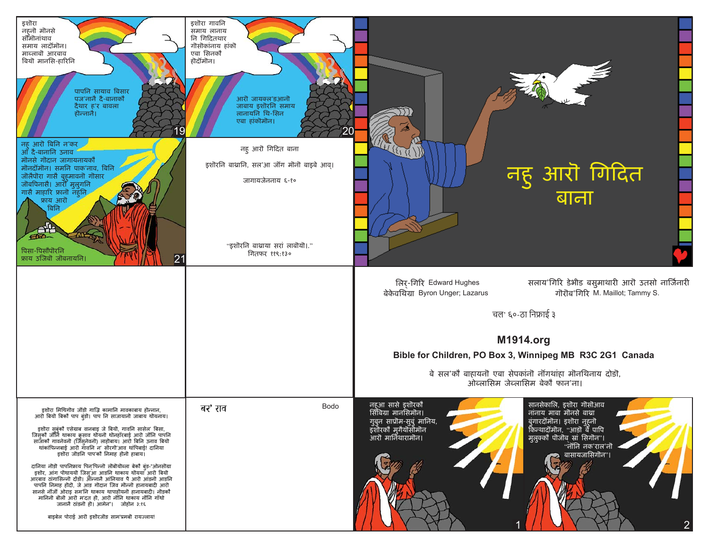